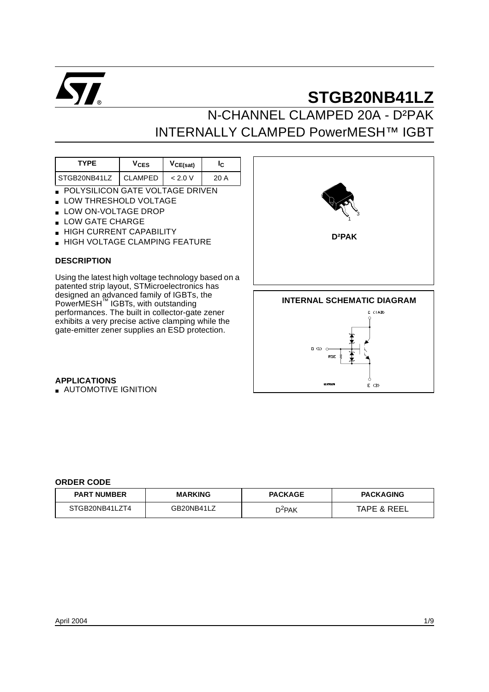

N-CHANNEL CLAMPED 20A - D²PAK INTERNALLY CLAMPED PowerMESH™ IGBT

| <b>V<sub>CES</sub></b> | VCE(sat) |      |  |
|------------------------|----------|------|--|
| CLAMPED                | < 2.0 V  | 20 A |  |
|                        |          |      |  |

- POLYSILICON GATE VOLTAGE DRIVEN
- LOW THRESHOLD VOLTAGE
- LOW ON-VOLTAGE DROP
- LOW GATE CHARGE
- HIGH CURRENT CAPABILITY
- **HIGH VOLTAGE CLAMPING FEATURE**

#### **DESCRIPTION**

Using the latest high voltage technology based on a patented strip layout, STMicroelectronics has designed an advanced family of IGBTs, the PowerMESH<sup>™</sup> IGBTs, with outstanding performances. The built in collector-gate zener exhibits a very precise active clamping while the gate-emitter zener supplies an ESD protection.



 $E(3)$ 

**APPLICATIONS**

■ AUTOMOTIVE IGNITION

#### **ORDER CODE**

| <b>PART NUMBER</b> | <b>MARKING</b> | <b>PACKAGE</b>     | <b>PACKAGING</b>       |  |  |
|--------------------|----------------|--------------------|------------------------|--|--|
| STGB20NB41LZT4     | GB20NB41LZ     | D <sup>2</sup> PAK | <b>TAPE &amp; REEL</b> |  |  |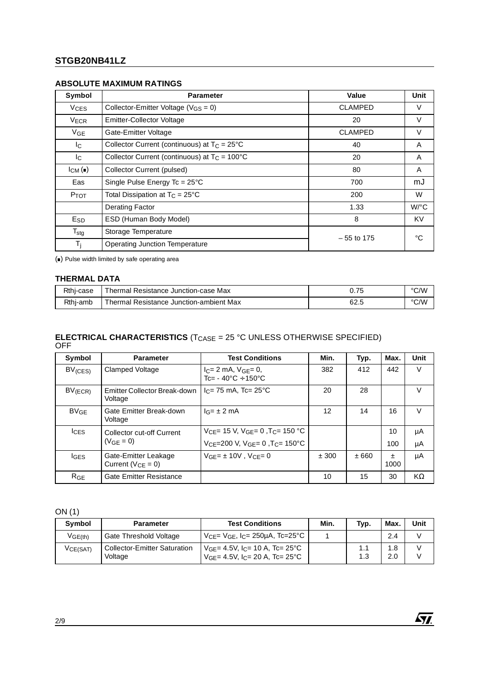## **Symbol Parameter Value Unit**  $V_{CES}$  Collector-Emitter Voltage ( $V_{GS} = 0$ ) CLAMPED V V<sub>ECR</sub> Emitter-Collector Voltage 20 V V<sub>GE</sub> Gate-Emitter Voltage **CLAMPED** V  $I_{\rm C}$  | Collector Current (continuous) at  $T_{\rm C} = 25^{\circ}$  40 40 A  $I_C$  Collector Current (continuous) at  $T_C = 100^{\circ}$  20 20 A ICM ( $\bullet$ ) Collector Current (pulsed) 80 A Eas Single Pulse Energy Tc = 25°C 700 700 mJ  $P_{TOT}$  Total Dissipation at  $T_C = 25^{\circ}$ C 200 200 W Derating Factor 1.33 W/°C E<sub>SD</sub> ESD (Human Body Model) 8 8 KV  $T_{\text{stg}}$  Storage Temperature – 55 to 175 °C<br>  $T_i$  Operating Junction Temperature Operating Junction Temperature

**ABSOLUTE MAXIMUM RATINGS**

() Pulse width limited by safe operating area

#### **THERMAL DATA**

| Rthi-case | Thermal Resistance Junction-case Max    | --<br>v. 1 J | °C/W |
|-----------|-----------------------------------------|--------------|------|
| Rthj-amb  | Thermal Resistance Junction-ambient Max | 62.t         | °C/W |

#### **ELECTRICAL CHARACTERISTICS** (T<sub>CASE</sub> = 25 °C UNLESS OTHERWISE SPECIFIED) **OFF**

| Symbol           | <b>Parameter</b>                                 | <b>Test Conditions</b>                                             | Min.  | Typ. | Max.          | Unit |
|------------------|--------------------------------------------------|--------------------------------------------------------------------|-------|------|---------------|------|
| $BV_{(CES)}$     | <b>Clamped Voltage</b>                           | $I_C = 2$ mA, $V_{GE} = 0$ ,<br>$Tc = -40^{\circ}C + 150^{\circ}C$ | 382   | 412  | 442           | V    |
| $BV$ (ECR)       | Emitter Collector Break-down<br>Voltage          | $I_C = 75$ mA, Tc= 25 °C                                           | 20    | 28   |               | V    |
| BV <sub>GE</sub> | Gate Emitter Break-down<br>Voltage               | $I_G = \pm 2$ mA                                                   | 12    | 14   | 16            | V    |
| <b>ICES</b>      | Collector cut-off Current                        | $V_{CF}$ = 15 V, $V_{GF}$ = 0, $T_{C}$ = 150 °C                    |       |      | 10            | μA   |
|                  | $(V_{GF} = 0)$                                   | $V_{CE}$ =200 V, $V_{GE}$ = 0, T <sub>C</sub> = 150°C              |       |      | 100           | μA   |
| <b>IGES</b>      | Gate-Emitter Leakage<br>Current ( $V_{CF} = 0$ ) | $VGF = \pm 10V$ . $VCF = 0$                                        | ± 300 | ±660 | $\pm$<br>1000 | μA   |
| R <sub>GE</sub>  | <b>Gate Emitter Resistance</b>                   |                                                                    | 10    | 15   | 30            | KΩ   |

ON (1)

| Symbol   | <b>Parameter</b>                               | <b>Test Conditions</b>                                                                           |  | Typ. | Max.       | <b>Unit</b> |
|----------|------------------------------------------------|--------------------------------------------------------------------------------------------------|--|------|------------|-------------|
| VGE(th)  | Gate Threshold Voltage                         | $V_{\text{CF}}$ = $V_{\text{GF}}$ , I <sub>C</sub> = 250µA, Tc=25°C                              |  |      | 2.4        |             |
| VCE(SAT) | <b>Collector-Emitter Saturation</b><br>Voltage | $V_{GF} = 4.5V$ , I <sub>C</sub> = 10 A, Tc= 25°C<br>$V_{GF}$ = 4.5V, $I_{C}$ = 20 A, Tc = 25 °C |  | ن.   | 1.8<br>2.0 |             |

57.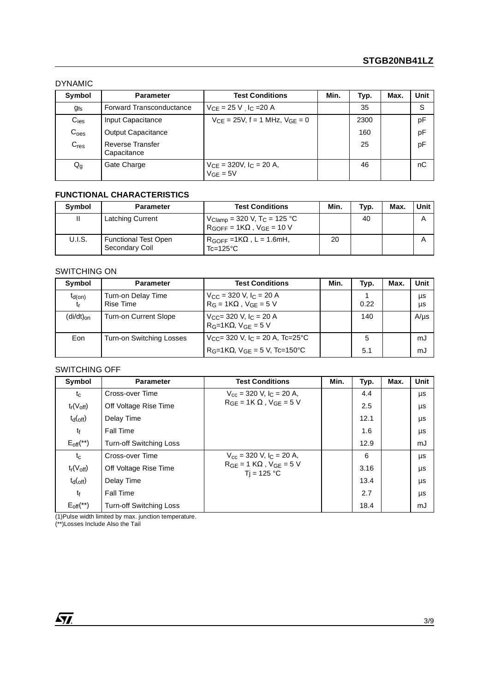#### DYNAMIC

| Symbol           | <b>Test Conditions</b><br><b>Parameter</b> |                                                 | Min. | Typ. | Max. | Unit |
|------------------|--------------------------------------------|-------------------------------------------------|------|------|------|------|
| $g_{fs}$         | <b>Forward Transconductance</b>            | $V_{CE} = 25 V$ , I <sub>C</sub> = 20 A         |      | 35   |      | S    |
| $C_{\text{ies}}$ | Input Capacitance                          | $V_{CF} = 25V$ , f = 1 MHz, $V_{GF} = 0$        |      | 2300 |      | pF   |
| C <sub>oes</sub> | <b>Output Capacitance</b>                  |                                                 |      | 160  |      | pF   |
| $C_{res}$        | <b>Reverse Transfer</b><br>Capacitance     |                                                 |      | 25   |      | pF   |
| $Q_g$            | Gate Charge                                | $V_{CE}$ = 320V, $I_C$ = 20 A,<br>$V_{GE} = 5V$ |      | 46   |      | nС   |

### **FUNCTIONAL CHARACTERISTICS**

| Symbol | <b>Parameter</b>                              | <b>Test Conditions</b>                                                                  | Min. | Typ. | Max. | Unit |
|--------|-----------------------------------------------|-----------------------------------------------------------------------------------------|------|------|------|------|
|        | <b>Latching Current</b>                       | $V_{Clamp}$ = 320 V, T <sub>C</sub> = 125 °C<br>$R_{GOFF} = 1K\Omega$ , $V_{GE} = 10 V$ |      | 40   |      | А    |
| U.I.S. | <b>Functional Test Open</b><br>Secondary Coil | $R_{GOFF} = 1K\Omega$ , L = 1.6mH,<br>$Tc = 125$ °C                                     | 20   |      |      |      |

#### SWITCHING ON

| Symbol                        | <b>Parameter</b>                       | <b>Test Conditions</b>                                                        | Min. | Typ. | Max. | Unit      |
|-------------------------------|----------------------------------------|-------------------------------------------------------------------------------|------|------|------|-----------|
| $t_{d(on)}$<br>t <sub>r</sub> | Turn-on Delay Time<br><b>Rise Time</b> | $V_{\rm CC}$ = 320 V, $I_{\rm C}$ = 20 A<br>$R_G = 1K\Omega$ , $V_{GE} = 5 V$ |      | 0.22 |      | μs<br>μs  |
| $(di/dt)_{on}$                | <b>Turn-on Current Slope</b>           | $V_{CC}$ = 320 V, $I_C$ = 20 A<br>$R_G=1K\Omega$ , $V_{GE}=5V$                |      | 140  |      | $A/\mu s$ |
| Eon                           | Turn-on Switching Losses               | $V_{CC}$ = 320 V, $I_C$ = 20 A, Tc=25°C                                       |      | 5    |      | mJ        |
|                               |                                        | $R_G=1K\Omega$ , $V_{GF}=5$ V, $Tc=150^{\circ}C$                              |      | 5.1  |      | mJ        |

#### SWITCHING OFF

| Symbol                | <b>Parameter</b>               | <b>Test Conditions</b>                           |  | Typ. | Max. | Unit |
|-----------------------|--------------------------------|--------------------------------------------------|--|------|------|------|
| $t_c$                 | Cross-over Time                | $V_{\text{cc}}$ = 320 V, I <sub>C</sub> = 20 A,  |  | 4.4  |      | μs   |
| $t_r(V_{off})$        | Off Voltage Rise Time          | $RGE = 1K \Omega$ . $VGE = 5 V$                  |  | 2.5  |      | μs   |
| $t_{d(off)}$          | Delay Time                     |                                                  |  | 12.1 |      | μs   |
| tf                    | <b>Fall Time</b>               |                                                  |  | 1.6  |      | μs   |
| $E_{\text{off}}$ (**) | <b>Turn-off Switching Loss</b> |                                                  |  | 12.9 |      | mJ   |
| $t_c$                 | Cross-over Time                | $V_{cc}$ = 320 V, $I_C$ = 20 A,                  |  | 6    |      | μs   |
| $t_r(V_{off})$        | Off Voltage Rise Time          | $RGE = 1 K\Omega$ , $VGE = 5 V$<br>$Ti = 125 °C$ |  | 3.16 |      | μs   |
| $t_{d(off)}$          | Delay Time                     |                                                  |  | 13.4 |      | μs   |
| tf                    | <b>Fall Time</b>               |                                                  |  | 2.7  |      | μs   |
| $E_{\text{off}}$ (**) | <b>Turn-off Switching Loss</b> |                                                  |  | 18.4 |      | mJ   |

<u> 1980 - Johann Barn, mars ar breist fan de Amerikaanske kommunent fan de Amerikaanske kommunent fan de Amerika</u>

(1)Pulse width limited by max. junction temperature.

(\*\*)Losses Include Also the Tail

 $\sqrt{M}$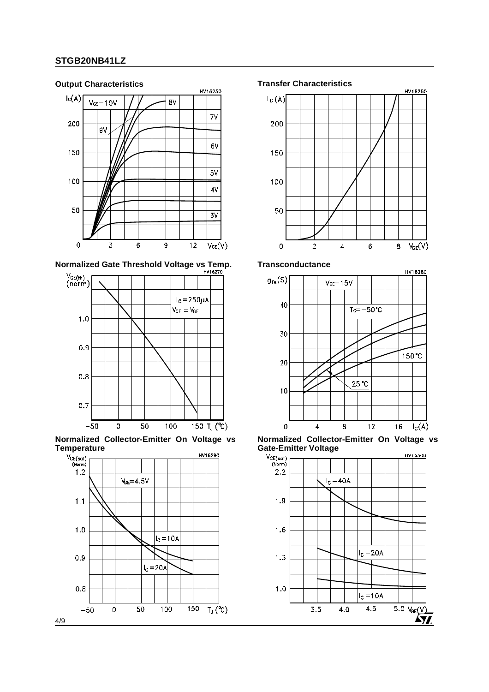

**Normalized Gate Threshold Voltage vs Temp.** Transconductance



**Normalized Collector-Emitter On Voltage vs**









**Normalized Collector-Emitter On Voltage vs**

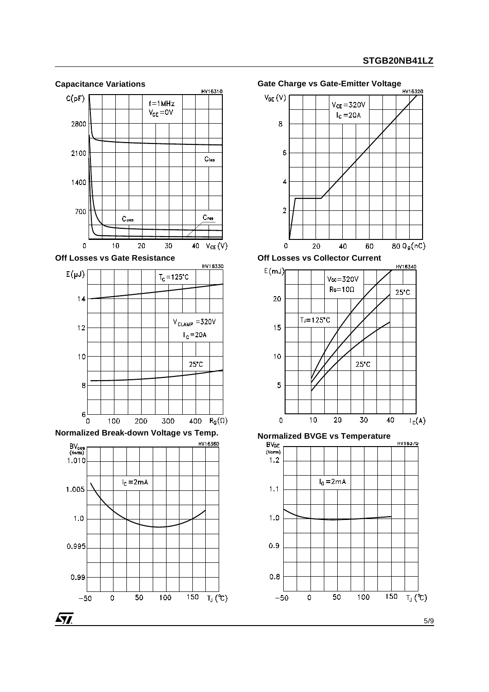

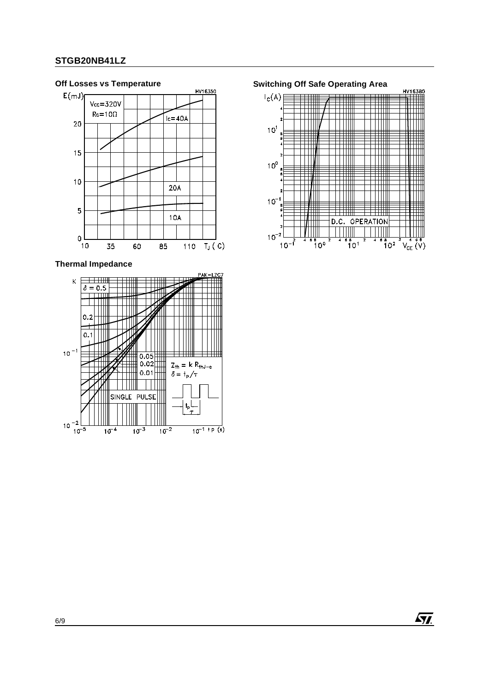#### **Off Losses vs Temperature Switching Off Safe Operating Area**  $E(mJ)$  $Vcc = 320V$  $Re=10\Omega$  $Ic = 40A$ 20 15  $10$  $20A$  $\mathbf 5$  $10A$  $\mathsf{O}\xspace$  $10$ 110  $T_J(C)$ 35 60 85

**Thermal Impedance**





 $\sqrt{M}$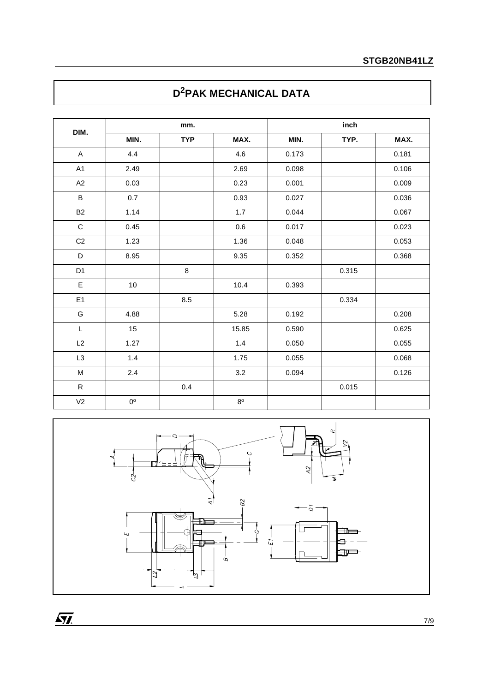# **D2PAK MECHANICAL DATA**

|                | mm.         |            |             | inch  |       |       |  |
|----------------|-------------|------------|-------------|-------|-------|-------|--|
| DIM.           | MIN.        | <b>TYP</b> | MAX.        | MIN.  | TYP.  | MAX.  |  |
| $\mathsf{A}$   | 4.4         |            | 4.6         | 0.173 |       | 0.181 |  |
| A1             | 2.49        |            | 2.69        | 0.098 |       | 0.106 |  |
| A2             | 0.03        |            | 0.23        | 0.001 |       | 0.009 |  |
| $\sf B$        | 0.7         |            | 0.93        | 0.027 |       | 0.036 |  |
| <b>B2</b>      | 1.14        |            | 1.7         | 0.044 |       | 0.067 |  |
| $\mathbf C$    | 0.45        |            | $0.6\,$     | 0.017 |       | 0.023 |  |
| C <sub>2</sub> | 1.23        |            | 1.36        | 0.048 |       | 0.053 |  |
| D              | 8.95        |            | 9.35        | 0.352 |       | 0.368 |  |
| D <sub>1</sub> |             | 8          |             |       | 0.315 |       |  |
| $\mathsf E$    | $10\,$      |            | 10.4        | 0.393 |       |       |  |
| E1             |             | 8.5        |             |       | 0.334 |       |  |
| ${\mathsf G}$  | 4.88        |            | 5.28        | 0.192 |       | 0.208 |  |
| L              | 15          |            | 15.85       | 0.590 |       | 0.625 |  |
| L2             | 1.27        |            | 1.4         | 0.050 |       | 0.055 |  |
| L <sub>3</sub> | $1.4$       |            | 1.75        | 0.055 |       | 0.068 |  |
| M              | $2.4\,$     |            | 3.2         | 0.094 |       | 0.126 |  |
| $\mathsf R$    |             | 0.4        |             |       | 0.015 |       |  |
| V <sub>2</sub> | $0^{\rm o}$ |            | $8^{\circ}$ |       |       |       |  |



 $\sqrt{M}$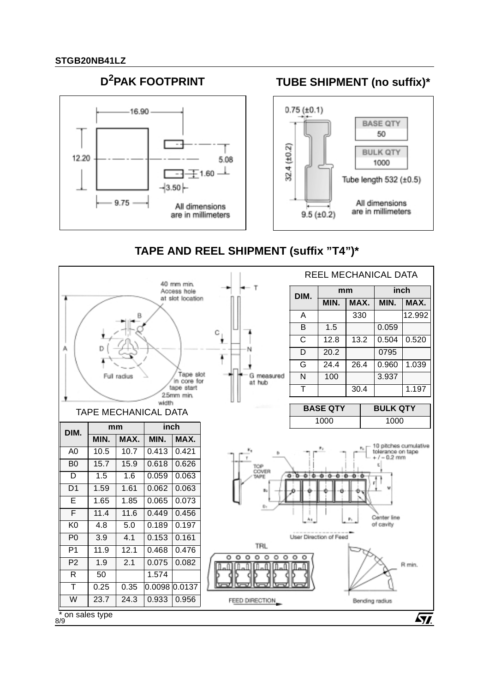

# **TAPE AND REEL SHIPMENT (suffix "T4")\***



8/9